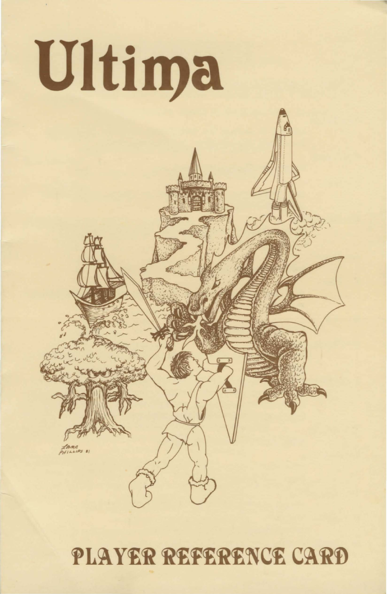

# PLAYER REFERENCE CARD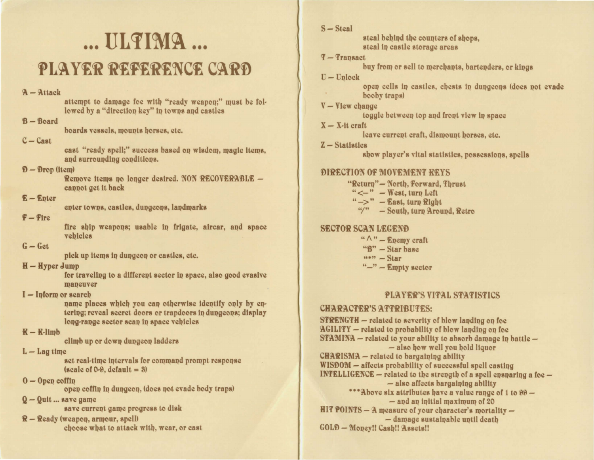# ... **IILTIMA** ... PLAYER REFERENCE CARD

#### $A - Attack$

attempt to damage foe with "ready weapon;" must be followed by a "direction key" in towns and castles

#### $B - Board$

boards vessels, mounts horses, etc.

#### $C - Cast$

cast "ready spell;" success based on wisdom, magic items, and surrounding conditions.

#### $D -$  Drop (item)

Remove items no longer desired. NON RECOVERABLE cannot get it back

#### $E$  – Enter

enter towns, castles, dungeons, landmarks

#### $F -$ Fire

fire ship weapons; usable in frigate, aircar, and space vehicles

# $G - Get$

pick up items in dungeon or castles, etc.

# $H - Hyper$  Jump

for traveling to a different sector in space, also good evasive maneuver

#### $I$  – Inform or search

name places which you can otherwise identify only by entering; reveal secret doors or trapdoors in dungeons; display long-range sector scan in space vehicles

# $R - R$ -limb

climb up or down dungeon ladders

# $L - Lag$  time

set real-time intervals for command prompt response  $(scale of 0-9, default = 3)$ 

#### $0 -$ Open coffin

open coffin in dungeon, (does not evade body traps)

#### $Q - Q$ uit ... save game

save current game progress to disk

R - Ready (weapon, armour, spell) choose what to attack with, wear, or cast  $S - Steal$ 

steal behind the counters of shops. steal in castle storage areas

# $F -$ Trapsact

buy from or sell to merchants, bartenders, or kings

#### $U-Uplock$

open cells in castles, chests in dungeons (does not evade booby traps)

#### $V -$ View change

toggle between top and front view in space

 $X - X$ -it craft

leave current craft, dismount horses, etc.

 $Z - Statistics$ 

show player's vital statistics, possessions, spells

# **DIRECTION OF MOVEMENT REYS**

"Return"-North, Forward, Thrust " $\leftarrow$ " - West, turn Left " $\rightarrow$ " - East, turn Right "/" - South, turn Around, Retro

# **SECTOR SCAN LEGEND**

- $`` \wedge"$  Enemy craft
- "B" Star hase
- $\frac{1}{2}$   $\frac{1}{2}$   $\frac{1}{2}$   $\frac{1}{2}$   $\frac{1}{2}$   $\frac{1}{2}$   $\frac{1}{2}$   $\frac{1}{2}$   $\frac{1}{2}$   $\frac{1}{2}$   $\frac{1}{2}$   $\frac{1}{2}$   $\frac{1}{2}$   $\frac{1}{2}$   $\frac{1}{2}$   $\frac{1}{2}$   $\frac{1}{2}$   $\frac{1}{2}$   $\frac{1}{2}$   $\frac{1}{2}$   $\frac{1}{2}$   $\frac{1}{2}$
- $"-" -$  Empty sector

# **PLAYER'S VITAL STATISTICS**

# **CHARACTER'S ATTRIBUTES:**

**STRENGTH** – related to severity of blow landing on foe AGILITY - related to probability of blow landing on foe STAMINA - related to your ability to absorb damage in battle  $-$ - also how well you hold liquor  $CHARISMA$  – related to bargaining ability WISDOM - affects probability of successful spell casting **INTELLIGENCE**  $-$  related to the strength of a spell ensparing a foe  $-$  also affects bargaining ability \*\*\* Above six attributes have a value range of 1 to 99 - $-$  and an initial maximum of 20 HIT POINTS - A measure of your character's mortality -- damage sustainable until death GOLD - Money!! Cash!! Assets!!